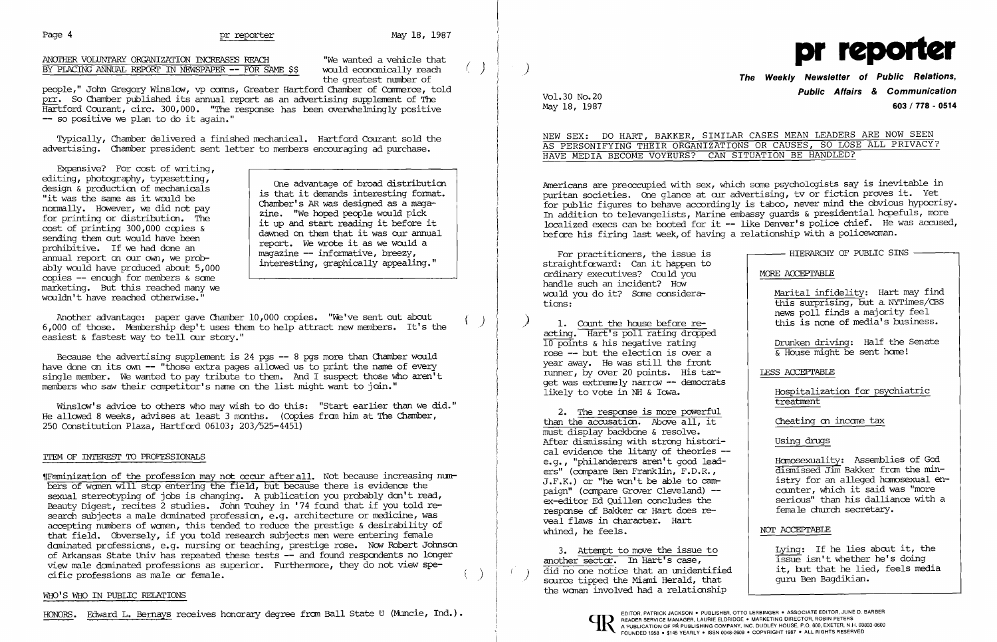## Page 4 **pr reporter May 18, 1987**

# ANOTHER VOLUNTARY ORGANIZATION INCREASES REACH "We wanted a vehicle that BY PLACING ANNUAL REPORT IN NEWSPAPER -- FOR SAME \$\$ would economically reach BY PLACING ANNUAL REPORT IN NEWSPAPER -- FOR SAME \$\$ would economically reach (' ) ) is the quatest number of



# Vol.30 No.20<br>May 18, 1987 May 18, 1987 603 / 778 - 0514

people," John Gregory Winslow, vp comms, Greater Hartford Chamber of Commerce, told prr. So Chamber published its annual report as an advertising supplement of The Hartford Courant, circ. 300,000. "The response has been overwhelmingly positive -- so positive we plan to do it again."

Typically, Chamber delivered a finished mechanicaL Hartford Courant sold the advertising. Chamber president sent letter to members encouraging ad purchase.

Expensive? For cost of writing,<br>editing, photography, typesetting, editing, photography, typesetting,<br>
design & production of mechanicals<br>
"it was the same as it would be<br>
normally. However, we did not pay<br>
for printing or distribution. The<br>
cost of printing 300,000 copies &<br>
sending them ably would have produced about  $5,000$ <br>copies -- enough for members & some marketing. But this reached many we wouldn't have reached otherwise."

Another advantage: paper gave Chamber  $10,000$  copies. "We've sent out about 6,000 of those. Membership dep't uses them to help attract new members. It's the easiest & fastest way to tell our story."

Because the advertising supplement is  $24$  pgs  $-8$  pgs more than Chamber would have done on its own  $-$  "those extra pages allowed us to print the name of every single member. We wanted to pay tribute to them. And I suspect those who aren't members who saw their competitor's name on the list might want to join."

Winslow's advice to others who may wish to do this: "Start earlier than we did." He allowed 8 weeks, advises at least 3 months. (Copies from him at The Chamber, 250 Constitution Plaza, Hartford 06103; 203/525-4451)

Americans are preoccupied with sex, which some psychologists say is inevitable in puritan societies. One glance at our advertising, tv or fiction proves it. Yet for public figures to behave accordingly is taboo, never mind the obvious hypocrisy. In addition to televangelists, Marine embassy quards & presidential hopefuls, more localized execs can be booted for it -- like Denver's police chief. He was accused, before his firing last week, of having a relationship with a policewanan.

## ITEM OF INTEREST 'ID PROFESSIONALS

1. Count the house before reacting. Hart's poll rating dropped  $10$  points & his negative rating rose -- but the election is over a year away. He was still the front nmner, by over 20 points. His tar get was extremely narrow -- democrats likely to vote in NH & Iowa.

'fFeminization of the profession may not occur after all. Not because increasing numbers of wanen will step entering the field, but because there is evidence the sexual stereotyping of jobs is changing. A publication you probably don't read, Beauty Digest, recites 2 studies. John Touhey in '74 found that if you told research subjects a male dominated profession, e.g. architecture or medicine, was accepting numbers of wanen, this tended to reduce the prestige & desirability of that field. Obversely, if you told research subjects men were entering female daninated professions, e. g. nursing or teaching, prestige rose. *NON* Robert Johnsen of Arkansas State Univ has repeated these tests -- and found respondents no longer view male daninated professions as superior. Furthermore, they do not view specific professions as male or female. )

### WHO'S WHO IN PUBLIC RELATIONS

HONORS. Edward L. Bernays receives honorary degree from Ball State U (Muncie, Ind.). [10] FEADER SERVICE MANAGER, LAURIE ELDRIDGE . MARKETING DIRECTOR, JUNE D. BARBER

NEW SEX: DO HART, BAKKER, SIHILAR CASES MEAN LEADERS ARE NOW SEEN AS PERSONIFYING THEIR ORGANIZATIONS OR CAUSES, SO LOSE ALL PRIVACY?

| For practitioners, the issue is        | - HIERARCHY OF PUBLIC SINS          |
|----------------------------------------|-------------------------------------|
|                                        |                                     |
| straightforward: Can it happen to      |                                     |
| ordinary executives? Could you         | MORE ACCEPTABLE                     |
| handle such an incident? How           |                                     |
| would you do it? Some considera-       | Marital infidelity: Hart may find   |
| tions:                                 | this surprising, but a NYTimes/CBS  |
|                                        | news poll finds a majority feel     |
| 1. Count the house before re-          | this is none of media's business.   |
|                                        |                                     |
| acting. Hart's poll rating dropped     |                                     |
| 10 points & his negative rating        | Drunken driving: Half the Senate    |
| rose -- but the election is over a     | & House might be sent home!         |
| year away.  He was still the front     |                                     |
| runner, by over 20 points. His tar-    | LESS ACCEPTABLE                     |
| get was extremely narrow -- democrats  |                                     |
| likely to vote in NH & Iowa.           | Hospitalization for psychiatric     |
|                                        | treatment                           |
| 2. The response is more powerful       |                                     |
| than the accusation. Above all, it     | Cheating on income tax              |
| must display backbone & resolve.       |                                     |
| After dismissing with strong histori-  | Using drugs                         |
|                                        |                                     |
| cal evidence the litany of theories -- |                                     |
| e.g., "philanderers aren't good lead-  | Homosexuality: Assemblies of God    |
| ers" (compare Ben Franklin, F.D.R.,    | dismissed Jim Bakker from the min-  |
| $J.F.K.)$ or "he won't be able to cam- | istry for an alleged homosexual en- |
| paign" (compare Grover Cleveland) --   | counter, which it said was "more    |
| ex-editor Ed Quillen concludes the     | serious" than his dalliance with a  |
| response of Bakker or Hart does re-    | female church secretary.            |
| veal flaws in character. Hart          |                                     |
| whined, he feels.                      | NOT ACCEPTABLE                      |
|                                        |                                     |
| 3. Attempt to move the issue to        | Lying: If he lies about it, the     |
|                                        |                                     |

# HAVE MEDIA BECOME VOYEURS? CAN SITUATION BE HANDLED?

another sector. In Hart's case, 3. Attempt to move the issue to  $\frac{d}{dx}$  did no one notice that an unidentified it, but that he lied, feared, feeds media is media only solve the Miami Herald. that the woman involved had a relationship scurce tipped the Miami Herald, that



issue isn't whether he's doing